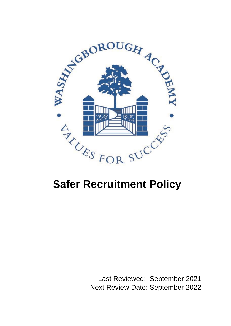

# **Safer Recruitment Policy**

Last Reviewed: September 2021 Next Review Date: September 2022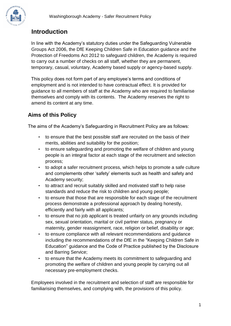

# **Introduction**

In line with the Academy's statutory duties under the Safeguarding Vulnerable Groups Act 2006, the DfE Keeping Children Safe in Education guidance and the Protection of Freedoms Act 2012 to safeguard children, the Academy is required to carry out a number of checks on all staff, whether they are permanent, temporary, casual, voluntary, Academy based supply or agency-based supply.

This policy does not form part of any employee's terms and conditions of employment and is not intended to have contractual effect. It is provided for guidance to all members of staff at the Academy who are required to familiarise themselves and comply with its contents. The Academy reserves the right to amend its content at any time.

# **Aims of this Policy**

The aims of the Academy's Safeguarding in Recruitment Policy are as follows:

- to ensure that the best possible staff are recruited on the basis of their merits, abilities and suitability for the position;
- to ensure safeguarding and promoting the welfare of children and young people is an integral factor at each stage of the recruitment and selection process;
- to adopt a safer recruitment process, which helps to promote a safe culture and complements other 'safety' elements such as health and safety and Academy security;
- to attract and recruit suitably skilled and motivated staff to help raise standards and reduce the risk to children and young people;
- to ensure that those that are responsible for each stage of the recruitment process demonstrate a professional approach by dealing honestly, efficiently and fairly with all applicants;
- to ensure that no job applicant is treated unfairly on any grounds including sex, sexual orientation, marital or civil partner status, pregnancy or maternity, gender reassignment, race, religion or belief, disability or age;
- to ensure compliance with all relevant recommendations and guidance including the recommendations of the DfE in the "Keeping Children Safe in Education" guidance and the Code of Practice published by the Disclosure and Barring Service;
- to ensure that the Academy meets its commitment to safeguarding and promoting the welfare of children and young people by carrying out all necessary pre-employment checks.

Employees involved in the recruitment and selection of staff are responsible for familiarising themselves, and complying with, the provisions of this policy.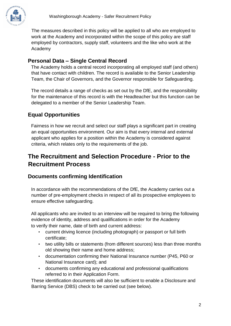

The measures described in this policy will be applied to all who are employed to work at the Academy and incorporated within the scope of this policy are staff employed by contractors, supply staff, volunteers and the like who work at the Academy

#### **Personal Data – Single Central Record**

The Academy holds a central record incorporating all employed staff (and others) that have contact with children. The record is available to the Senior Leadership Team, the Chair of Governors, and the Governor responsible for Safeguarding.

The record details a range of checks as set out by the DfE, and the responsibility for the maintenance of this record is with the Headteacher but this function can be delegated to a member of the Senior Leadership Team.

### **Equal Opportunities**

Fairness in how we recruit and select our staff plays a significant part in creating an equal opportunities environment. Our aim is that every internal and external applicant who applies for a position within the Academy is considered against criteria, which relates only to the requirements of the job.

# **The Recruitment and Selection Procedure - Prior to the Recruitment Process**

#### **Documents confirming Identification**

In accordance with the recommendations of the DfE, the Academy carries out a number of pre-employment checks in respect of all its prospective employees to ensure effective safeguarding.

All applicants who are invited to an interview will be required to bring the following evidence of identity, address and qualifications in order for the Academy to verify their name, date of birth and current address:

- current driving licence (including photograph) or passport or full birth certificate;
- two utility bills or statements (from different sources) less than three months old showing their name and home address;
- documentation confirming their National Insurance number (P45, P60 or National Insurance card); and
- documents confirming any educational and professional qualifications referred to in their Application Form.

These identification documents will also be sufficient to enable a Disclosure and Barring Service (DBS) check to be carried out (see below).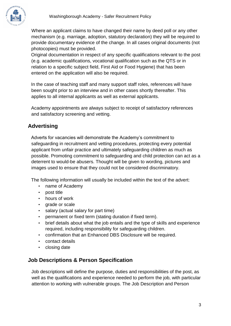

Where an applicant claims to have changed their name by deed poll or any other mechanism (e.g. marriage, adoption, statutory declaration) they will be required to provide documentary evidence of the change. In all cases original documents (not photocopies) must be provided.

Original documentation in respect of any specific qualifications relevant to the post (e.g. academic qualifications, vocational qualification such as the QTS or in relation to a specific subject field, First Aid or Food Hygiene) that has been entered on the application will also be required.

In the case of teaching staff and many support staff roles, references will have been sought prior to an interview and in other cases shortly thereafter. This applies to all internal applicants as well as external applicants.

Academy appointments are always subject to receipt of satisfactory references and satisfactory screening and vetting.

# **Advertising**

Adverts for vacancies will demonstrate the Academy's commitment to safeguarding in recruitment and vetting procedures, protecting every potential applicant from unfair practice and ultimately safeguarding children as much as possible. Promoting commitment to safeguarding and child protection can act as a deterrent to would-be abusers. Thought will be given to wording, pictures and images used to ensure that they could not be considered discriminatory.

The following information will usually be included within the text of the advert:

- name of Academy
- post title
- hours of work
- grade or scale
- salary (actual salary for part time)
- permanent or fixed term (stating duration if fixed term).
- brief details about what the job entails and the type of skills and experience required, including responsibility for safeguarding children.
- confirmation that an Enhanced DBS Disclosure will be required.
- contact details
- closing date

### **Job Descriptions & Person Specification**

Job descriptions will define the purpose, duties and responsibilities of the post, as well as the qualifications and experience needed to perform the job, with particular attention to working with vulnerable groups. The Job Description and Person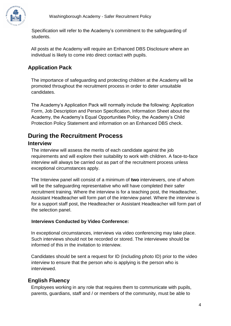

Specification will refer to the Academy's commitment to the safeguarding of students.

All posts at the Academy will require an Enhanced DBS Disclosure where an individual is likely to come into direct contact with pupils.

## **Application Pack**

The importance of safeguarding and protecting children at the Academy will be promoted throughout the recruitment process in order to deter unsuitable candidates.

The Academy's Application Pack will normally include the following: Application Form, Job Description and Person Specification, Information Sheet about the Academy, the Academy's Equal Opportunities Policy, the Academy's Child Protection Policy Statement and information on an Enhanced DBS check.

# **During the Recruitment Process**

#### **Interview**

The interview will assess the merits of each candidate against the job requirements and will explore their suitability to work with children. A face-to-face interview will always be carried out as part of the recruitment process unless exceptional circumstances apply.

The Interview panel will consist of a minimum of **two** interviewers, one of whom will be the safeguarding representative who will have completed their safer recruitment training. Where the interview is for a teaching post, the Headteacher, Assistant Headteacher will form part of the interview panel. Where the interview is for a support staff post, the Headteacher or Assistant Headteacher will form part of the selection panel.

#### **Interviews Conducted by Video Conference:**

In exceptional circumstances, interviews via video conferencing may take place. Such interviews should not be recorded or stored. The interviewee should be informed of this in the invitation to interview.

Candidates should be sent a request for ID (including photo ID) prior to the video interview to ensure that the person who is applying is the person who is interviewed.

### **English Fluency**

Employees working in any role that requires them to communicate with pupils, parents, guardians, staff and / or members of the community, must be able to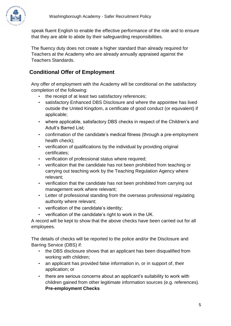

speak fluent English to enable the effective performance of the role and to ensure that they are able to abide by their safeguarding responsibilities.

The fluency duty does not create a higher standard than already required for Teachers at the Academy who are already annually appraised against the Teachers Standards.

## **Conditional Offer of Employment**

Any offer of employment with the Academy will be conditional on the satisfactory completion of the following:

- the receipt of at least two satisfactory references;
- satisfactory Enhanced DBS Disclosure and where the appointee has lived outside the United Kingdom, a certificate of good conduct (or equivalent) if applicable;
- where applicable, satisfactory DBS checks in respect of the Children's and Adult's Barred List;
- confirmation of the candidate's medical fitness (through a pre-employment health check);
- verification of qualifications by the individual by providing original certificates;
- verification of professional status where required;
- verification that the candidate has not been prohibited from teaching or carrying out teaching work by the Teaching Regulation Agency where relevant;
- verification that the candidate has not been prohibited from carrying out management work where relevant;
- Letter of professional standing from the overseas professional regulating authority where relevant;
- verification of the candidate's identity;
- verification of the candidate's right to work in the UK.

A record will be kept to show that the above checks have been carried out for all employees.

The details of checks will be reported to the police and/or the Disclosure and Barring Service (DBS) if:

- the DBS disclosure shows that an applicant has been disqualified from working with children;
- an applicant has provided false information in, or in support of, their application; or
- there are serious concerns about an applicant's suitability to work with children gained from other legitimate information sources (e.g. references). **Pre-employment Checks**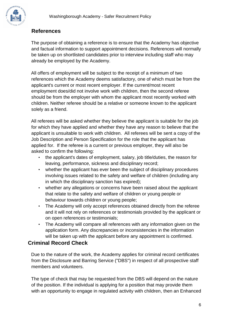

#### **References**

The purpose of obtaining a reference is to ensure that the Academy has objective and factual information to support appointment decisions. References will normally be taken up on shortlisted candidates prior to interview including staff who may already be employed by the Academy.

All offers of employment will be subject to the receipt of a minimum of two references which the Academy deems satisfactory, one of which must be from the applicant's current or most recent employer. If the current/most recent employment does/did not involve work with children, then the second referee should be from the employer with whom the applicant most recently worked with children. Neither referee should be a relative or someone known to the applicant solely as a friend.

All referees will be asked whether they believe the applicant is suitable for the job for which they have applied and whether they have any reason to believe that the applicant is unsuitable to work with children. All referees will be sent a copy of the Job Description and Person Specification for the role that the applicant has applied for. If the referee is a current or previous employer, they will also be asked to confirm the following:

- the applicant's dates of employment, salary, job title/duties, the reason for leaving, performance, sickness and disciplinary record;
- whether the applicant has ever been the subject of disciplinary procedures involving issues related to the safety and welfare of children (including any in which the disciplinary sanction has expired);
- whether any allegations or concerns have been raised about the applicant that relate to the safety and welfare of children or young people or behaviour towards children or young people;
- The Academy will only accept references obtained directly from the referee and it will not rely on references or testimonials provided by the applicant or on open references or testimonials;
- The Academy will compare all references with any information given on the application form. Any discrepancies or inconsistencies in the information will be taken up with the applicant before any appointment is confirmed.

#### **Criminal Record Check**

Due to the nature of the work, the Academy applies for criminal record certificates from the Disclosure and Barring Service ("DBS") in respect of all prospective staff members and volunteers.

The type of check that may be requested from the DBS will depend on the nature of the position. If the individual is applying for a position that may provide them with an opportunity to engage in regulated activity with children, then an Enhanced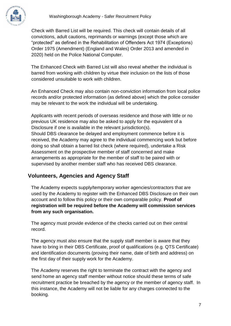

Check with Barred List will be required. This check will contain details of all convictions, adult cautions, reprimands or warnings (except those which are "protected" as defined in the Rehabilitation of Offenders Act 1974 (Exceptions) Order 1975 (Amendment) (England and Wales) Order 2013 and amended in 2020) held on the Police National Computer.

The Enhanced Check with Barred List will also reveal whether the individual is barred from working with children by virtue their inclusion on the lists of those considered unsuitable to work with children.

An Enhanced Check may also contain non-conviction information from local police records and/or protected information (as defined above) which the police consider may be relevant to the work the individual will be undertaking.

Applicants with recent periods of overseas residence and those with little or no previous UK residence may also be asked to apply for the equivalent of a Disclosure if one is available in the relevant jurisdiction(s). Should DBS clearance be delayed and employment commence before it is received, the Academy may agree to the individual commencing work but before doing so shall obtain a barred list check (where required), undertake a Risk Assessment on the prospective member of staff concerned and make arrangements as appropriate for the member of staff to be paired with or supervised by another member staff who has received DBS clearance.

### **Volunteers, Agencies and Agency Staff**

The Academy expects supply/temporary worker agencies/contractors that are used by the Academy to register with the Enhanced DBS Disclosure on their own account and to follow this policy or their own comparable policy. **Proof of registration will be required before the Academy will commission services from any such organisation.** 

The agency must provide evidence of the checks carried out on their central record.

The agency must also ensure that the supply staff member is aware that they have to bring in their DBS Certificate, proof of qualifications (e.g. QTS Certificate) and identification documents (proving their name, date of birth and address) on the first day of their supply work for the Academy.

The Academy reserves the right to terminate the contract with the agency and send home an agency staff member without notice should these terms of safe recruitment practice be breached by the agency or the member of agency staff. In this instance, the Academy will not be liable for any charges connected to the booking.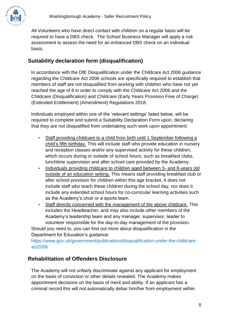

All Volunteers who have direct contact with children on a regular basis will be required to have a DBS check. The School Business Manager will apply a risk assessment to assess the need for an enhanced DBS check on an individual basis.

## **Suitability declaration form (disqualification)**

In accordance with the DfE Disqualification under the Childcare Act 2006 guidance regarding the Childcare Act 2006 schools are specifically required to establish that members of staff are not disqualified from working with children who have not yet reached the age of 8 in order to comply with the Childcare Act 2006 and the Childcare (Disqualification) and Childcare (Early Years Provision Free of Charge) (Extended Entitlement) (Amendment) Regulations 2018.

Individuals employed within one of the 'relevant settings' listed below, will be required to complete and submit a Suitability Declaration Form upon, declaring that they are not disqualified from undertaking such work upon appointment:

- Staff providing childcare to a child from birth until 1 September following a child's fifth birthday. This will include staff who provide education in nursery and reception classes and/or any supervised activity for these children, which occurs during or outside of school hours, such as breakfast clubs, lunchtime supervision and after school care provided by the Academy.
- Individuals providing childcare to children aged between 5- and 8-years old outside of an education setting. This means staff providing breakfast club or after school provision for children within this age bracket. It does not include staff who teach these children during the school day, nor does it include any extended school hours for co-curricular learning activities such as the Academy's choir or a sports team.
- Staff directly concerned with the management of the above childcare. This includes the Headteacher, and may also include other members of the Academy's leadership team and any manager, supervisor, leader to volunteer responsible for the day-to-day management of the provision.

Should you need to, you can find out more about disqualification in the Department for Education's guidance:

[https://www.gov.uk/government/publications/disqualification-under-the-childcare](https://www.gov.uk/government/publications/disqualification-under-the-childcare-act-2006)[act2006](https://www.gov.uk/government/publications/disqualification-under-the-childcare-act-2006)

#### **Rehabilitation of Offenders Disclosure**

The Academy will not unfairly discriminate against any applicant for employment on the basis of conviction or other details revealed. The Academy makes appointment decisions on the basis of merit and ability. If an applicant has a criminal record this will not automatically debar him/her from employment within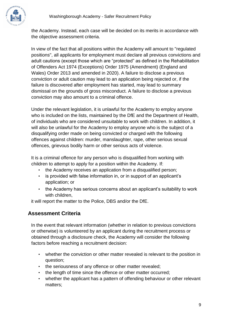the Academy. Instead, each case will be decided on its merits in accordance with the objective assessment criteria.

In view of the fact that all positions within the Academy will amount to "regulated positions", all applicants for employment must declare all previous convictions and adult cautions (except those which are "protected" as defined in the Rehabilitation of Offenders Act 1974 (Exceptions) Order 1975 (Amendment) (England and Wales) Order 2013 and amended in 2020). A failure to disclose a previous conviction or adult caution may lead to an application being rejected or, if the failure is discovered after employment has started, may lead to summary dismissal on the grounds of gross misconduct. A failure to disclose a previous conviction may also amount to a criminal offence.

Under the relevant legislation, it is unlawful for the Academy to employ anyone who is included on the lists, maintained by the DfE and the Department of Health, of individuals who are considered unsuitable to work with children. In addition, it will also be unlawful for the Academy to employ anyone who is the subject of a disqualifying order made on being convicted or charged with the following offences against children: murder, manslaughter, rape, other serious sexual offences, grievous bodily harm or other serious acts of violence.

It is a criminal offence for any person who is disqualified from working with children to attempt to apply for a position within the Academy. If:

- the Academy receives an application from a disqualified person;
- is provided with false information in, or in support of an applicant's application; or
- the Academy has serious concerns about an applicant's suitability to work with children,

it will report the matter to the Police, DBS and/or the DfE.

### **Assessment Criteria**

In the event that relevant information (whether in relation to previous convictions or otherwise) is volunteered by an applicant during the recruitment process or obtained through a disclosure check, the Academy will consider the following factors before reaching a recruitment decision:

- whether the conviction or other matter revealed is relevant to the position in question;
- the seriousness of any offence or other matter revealed;
- the length of time since the offence or other matter occurred:
- whether the applicant has a pattern of offending behaviour or other relevant matters;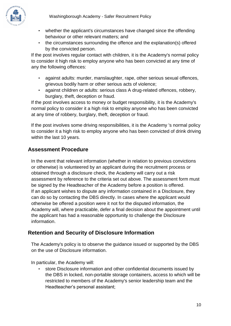

- whether the applicant's circumstances have changed since the offending behaviour or other relevant matters; and
- the circumstances surrounding the offence and the explanation(s) offered by the convicted person.

If the post involves regular contact with children, it is the Academy's normal policy to consider it high risk to employ anyone who has been convicted at any time of any the following offences:

- against adults: murder, manslaughter, rape, other serious sexual offences, grievous bodily harm or other serious acts of violence;
- against children or adults: serious class A drug-related offences, robbery, burglary, theft, deception or fraud.

If the post involves access to money or budget responsibility, it is the Academy's normal policy to consider it a high risk to employ anyone who has been convicted at any time of robbery, burglary, theft, deception or fraud.

If the post involves some driving responsibilities, it is the Academy 's normal policy to consider it a high risk to employ anyone who has been convicted of drink driving within the last 10 years.

### **Assessment Procedure**

In the event that relevant information (whether in relation to previous convictions or otherwise) is volunteered by an applicant during the recruitment process or obtained through a disclosure check, the Academy will carry out a risk assessment by reference to the criteria set out above. The assessment form must be signed by the Headteacher of the Academy before a position is offered. If an applicant wishes to dispute any information contained in a Disclosure, they can do so by contacting the DBS directly. In cases where the applicant would otherwise be offered a position were it not for the disputed information, the Academy will, where practicable, defer a final decision about the appointment until the applicant has had a reasonable opportunity to challenge the Disclosure information.

### **Retention and Security of Disclosure Information**

The Academy's policy is to observe the guidance issued or supported by the DBS on the use of Disclosure information.

In particular, the Academy will:

• store Disclosure information and other confidential documents issued by the DBS in locked, non-portable storage containers, access to which will be restricted to members of the Academy's senior leadership team and the Headteacher's personal assistant;